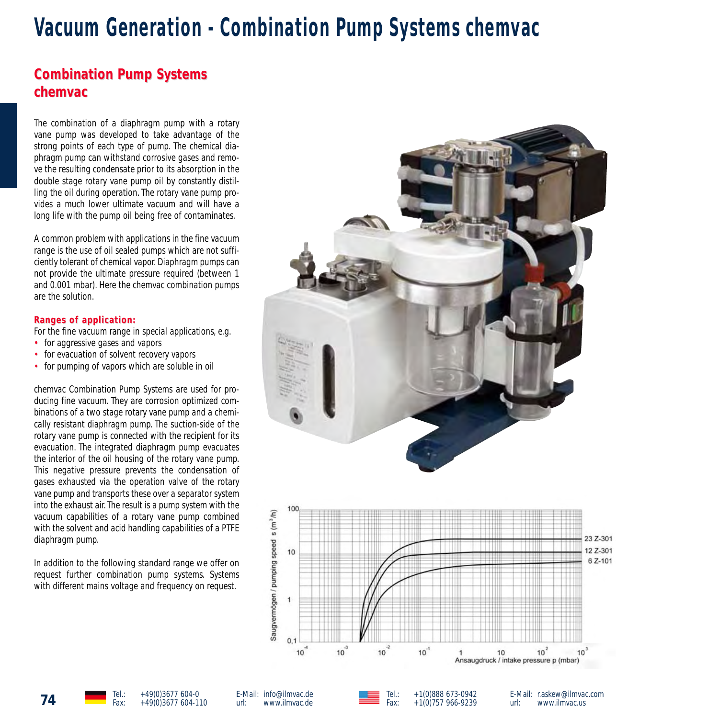# **Vacuum Generation - Combination Pump Systems chemvac**

# **Combination Pump Systems chemvac chemvac**

The combination of a diaphragm pump with a rotary vane pump was developed to take advantage of the strong points of each type of pump. The chemical diaphragm pump can withstand corrosive gases and remove the resulting condensate prior to its absorption in the double stage rotary vane pump oil by constantly distilling the oil during operation. The rotary vane pump provides a much lower ultimate vacuum and will have a long life with the pump oil being free of contaminates.

A common problem with applications in the fine vacuum range is the use of oil sealed pumps which are not sufficiently tolerant of chemical vapor. Diaphragm pumps can not provide the ultimate pressure required (between 1 and 0.001 mbar). Here the chemvac combination pumps are the solution.

#### **Ranges of application: Ranges of**

For the fine vacuum range in special applications, e.g.

- for aggressive gases and vapors
- for evacuation of solvent recovery vapors
- for pumping of vapors which are soluble in oil

chemvac Combination Pump Systems are used for producing fine vacuum. They are corrosion optimized combinations of a two stage rotary vane pump and a chemically resistant diaphragm pump. The suction-side of the rotary vane pump is connected with the recipient for its evacuation. The integrated diaphragm pump evacuates the interior of the oil housing of the rotary vane pump. This negative pressure prevents the condensation of gases exhausted via the operation valve of the rotary vane pump and transports these over a separator system into the exhaust air. The result is a pump system with the vacuum capabilities of a rotary vane pump combined with the solvent and acid handling capabilities of a PTFE diaphragm pump.

In addition to the following standard range we offer on request further combination pump systems. Systems with different mains voltage and frequency on request.





**74** Tel.: +49(0)3677 604-0<br>Fax: +49(0)3677 604-110

E-Mail: info@ilmvac.de<br>url: www.ilmvac.de url: www.ilmvac.de Tel.: +1(0)888 673-0942<br>Eav: +1(0)757 966-9239  $+1(0)757966-9239$ 

E-Mail: r.askew@ilmvac.com<br>url: www.ilmvac.us url: www.ilmvac.us